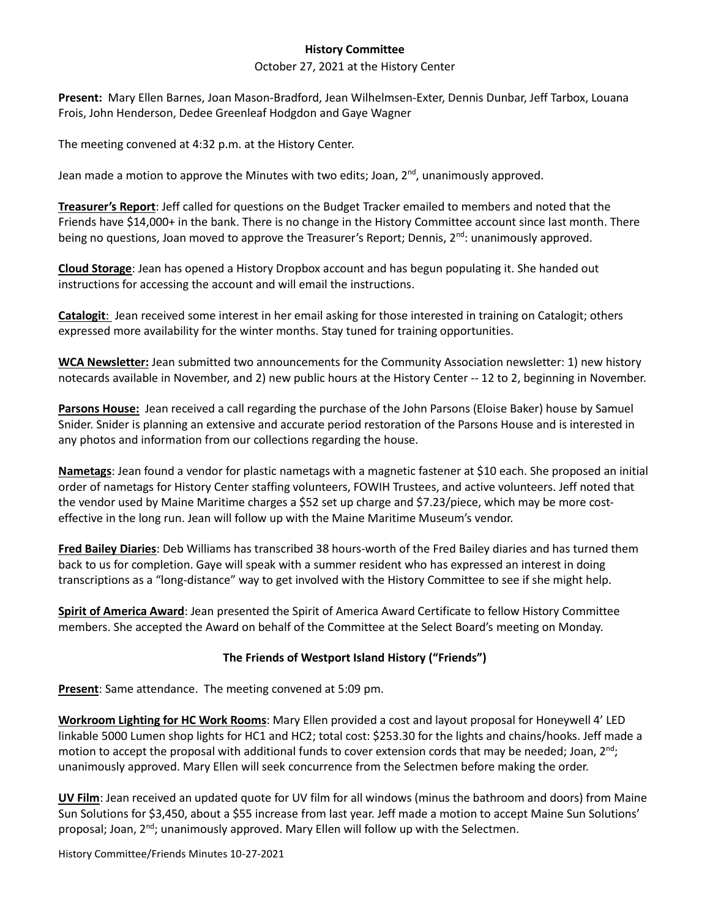## **History Committee**

## October 27, 2021 at the History Center

**Present:** Mary Ellen Barnes, Joan Mason-Bradford, Jean Wilhelmsen-Exter, Dennis Dunbar, Jeff Tarbox, Louana Frois, John Henderson, Dedee Greenleaf Hodgdon and Gaye Wagner

The meeting convened at 4:32 p.m. at the History Center.

Jean made a motion to approve the Minutes with two edits; Joan, 2<sup>nd</sup>, unanimously approved.

**Treasurer's Report**: Jeff called for questions on the Budget Tracker emailed to members and noted that the Friends have \$14,000+ in the bank. There is no change in the History Committee account since last month. There being no questions, Joan moved to approve the Treasurer's Report; Dennis,  $2^{nd}$ : unanimously approved.

**Cloud Storage**: Jean has opened a History Dropbox account and has begun populating it. She handed out instructions for accessing the account and will email the instructions.

**Catalogit**: Jean received some interest in her email asking for those interested in training on Catalogit; others expressed more availability for the winter months. Stay tuned for training opportunities.

**WCA Newsletter:** Jean submitted two announcements for the Community Association newsletter: 1) new history notecards available in November, and 2) new public hours at the History Center -- 12 to 2, beginning in November.

**Parsons House:** Jean received a call regarding the purchase of the John Parsons (Eloise Baker) house by Samuel Snider. Snider is planning an extensive and accurate period restoration of the Parsons House and is interested in any photos and information from our collections regarding the house.

**Nametags**: Jean found a vendor for plastic nametags with a magnetic fastener at \$10 each. She proposed an initial order of nametags for History Center staffing volunteers, FOWIH Trustees, and active volunteers. Jeff noted that the vendor used by Maine Maritime charges a \$52 set up charge and \$7.23/piece, which may be more costeffective in the long run. Jean will follow up with the Maine Maritime Museum's vendor.

**Fred Bailey Diaries**: Deb Williams has transcribed 38 hours-worth of the Fred Bailey diaries and has turned them back to us for completion. Gaye will speak with a summer resident who has expressed an interest in doing transcriptions as a "long-distance" way to get involved with the History Committee to see if she might help.

**Spirit of America Award**: Jean presented the Spirit of America Award Certificate to fellow History Committee members. She accepted the Award on behalf of the Committee at the Select Board's meeting on Monday.

## **The Friends of Westport Island History ("Friends")**

**Present**: Same attendance. The meeting convened at 5:09 pm.

**Workroom Lighting for HC Work Rooms**: Mary Ellen provided a cost and layout proposal for Honeywell 4' LED linkable 5000 Lumen shop lights for HC1 and HC2; total cost: \$253.30 for the lights and chains/hooks. Jeff made a motion to accept the proposal with additional funds to cover extension cords that may be needed; Joan,  $2<sup>nd</sup>$ ; unanimously approved. Mary Ellen will seek concurrence from the Selectmen before making the order.

**UV Film**: Jean received an updated quote for UV film for all windows (minus the bathroom and doors) from Maine Sun Solutions for \$3,450, about a \$55 increase from last year. Jeff made a motion to accept Maine Sun Solutions' proposal; Joan, 2<sup>nd</sup>; unanimously approved. Mary Ellen will follow up with the Selectmen.

History Committee/Friends Minutes 10-27-2021